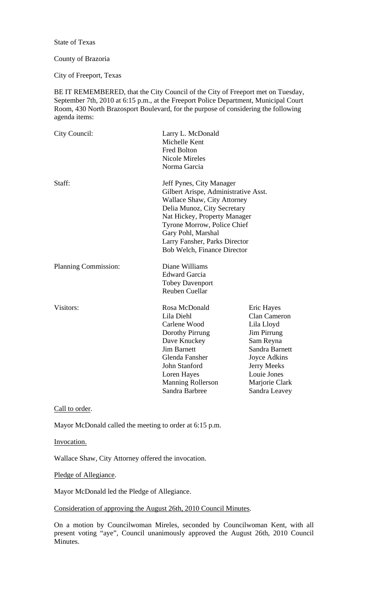State of Texas

## County of Brazoria

City of Freeport, Texas

BE IT REMEMBERED, that the City Council of the City of Freeport met on Tuesday, September 7th, 2010 at 6:15 p.m., at the Freeport Police Department, Municipal Court Room, 430 North Brazosport Boulevard, for the purpose of considering the following agenda items:

| City Council:        | Larry L. McDonald<br>Michelle Kent<br>Fred Bolton<br><b>Nicole Mireles</b><br>Norma Garcia                                                                                                                                                                                                 |                                                                                                                                                                                              |
|----------------------|--------------------------------------------------------------------------------------------------------------------------------------------------------------------------------------------------------------------------------------------------------------------------------------------|----------------------------------------------------------------------------------------------------------------------------------------------------------------------------------------------|
| Staff:               | Jeff Pynes, City Manager<br>Gilbert Arispe, Administrative Asst.<br><b>Wallace Shaw, City Attorney</b><br>Delia Munoz, City Secretary<br>Nat Hickey, Property Manager<br>Tyrone Morrow, Police Chief<br>Gary Pohl, Marshal<br>Larry Fansher, Parks Director<br>Bob Welch, Finance Director |                                                                                                                                                                                              |
| Planning Commission: | Diane Williams<br><b>Edward Garcia</b><br><b>Tobey Davenport</b><br><b>Reuben Cuellar</b>                                                                                                                                                                                                  |                                                                                                                                                                                              |
| Visitors:            | Rosa McDonald<br>Lila Diehl<br>Carlene Wood<br>Dorothy Pirrung<br>Dave Knuckey<br><b>Jim Barnett</b><br>Glenda Fansher<br><b>John Stanford</b><br>Loren Hayes<br>Manning Rollerson<br>Sandra Barbree                                                                                       | Eric Hayes<br><b>Clan Cameron</b><br>Lila Lloyd<br><b>Jim Pirrung</b><br>Sam Reyna<br>Sandra Barnett<br>Joyce Adkins<br><b>Jerry Meeks</b><br>Louie Jones<br>Marjorie Clark<br>Sandra Leavey |

Call to order.

Mayor McDonald called the meeting to order at 6:15 p.m.

Invocation.

Wallace Shaw, City Attorney offered the invocation.

Pledge of Allegiance.

Mayor McDonald led the Pledge of Allegiance.

## Consideration of approving the August 26th, 2010 Council Minutes.

On a motion by Councilwoman Mireles, seconded by Councilwoman Kent, with all present voting "aye", Council unanimously approved the August 26th, 2010 Council Minutes.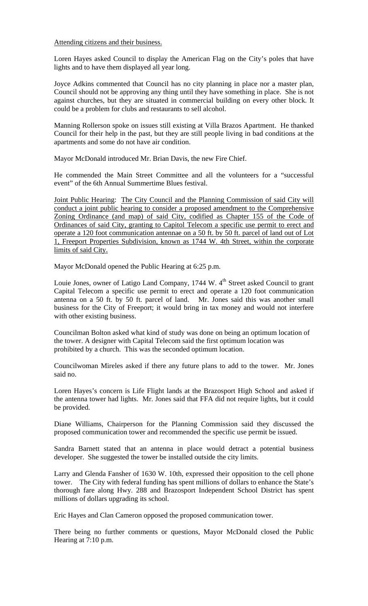Attending citizens and their business.

Loren Hayes asked Council to display the American Flag on the City's poles that have lights and to have them displayed all year long.

Joyce Adkins commented that Council has no city planning in place nor a master plan, Council should not be approving any thing until they have something in place. She is not against churches, but they are situated in commercial building on every other block. It could be a problem for clubs and restaurants to sell alcohol.

Manning Rollerson spoke on issues still existing at Villa Brazos Apartment. He thanked Council for their help in the past, but they are still people living in bad conditions at the apartments and some do not have air condition.

Mayor McDonald introduced Mr. Brian Davis, the new Fire Chief.

He commended the Main Street Committee and all the volunteers for a "successful event" of the 6th Annual Summertime Blues festival.

Joint Public Hearing: The City Council and the Planning Commission of said City will conduct a joint public hearing to consider a proposed amendment to the Comprehensive Zoning Ordinance (and map) of said City, codified as Chapter 155 of the Code of Ordinances of said City, granting to Capitol Telecom a specific use permit to erect and operate a 120 foot communication antennae on a 50 ft. by 50 ft. parcel of land out of Lot 1, Freeport Properties Subdivision, known as 1744 W. 4th Street, within the corporate limits of said City.

Mayor McDonald opened the Public Hearing at 6:25 p.m.

Louie Jones, owner of Latigo Land Company, 1744 W. 4<sup>th</sup> Street asked Council to grant Capital Telecom a specific use permit to erect and operate a 120 foot communication antenna on a 50 ft. by 50 ft. parcel of land. Mr. Jones said this was another small business for the City of Freeport; it would bring in tax money and would not interfere with other existing business.

Councilman Bolton asked what kind of study was done on being an optimum location of the tower. A designer with Capital Telecom said the first optimum location was prohibited by a church. This was the seconded optimum location.

Councilwoman Mireles asked if there any future plans to add to the tower. Mr. Jones said no.

Loren Hayes's concern is Life Flight lands at the Brazosport High School and asked if the antenna tower had lights. Mr. Jones said that FFA did not require lights, but it could be provided.

Diane Williams, Chairperson for the Planning Commission said they discussed the proposed communication tower and recommended the specific use permit be issued.

Sandra Barnett stated that an antenna in place would detract a potential business developer. She suggested the tower be installed outside the city limits.

Larry and Glenda Fansher of 1630 W. 10th, expressed their opposition to the cell phone tower. The City with federal funding has spent millions of dollars to enhance the State's thorough fare along Hwy. 288 and Brazosport Independent School District has spent millions of dollars upgrading its school.

Eric Hayes and Clan Cameron opposed the proposed communication tower.

There being no further comments or questions, Mayor McDonald closed the Public Hearing at 7:10 p.m.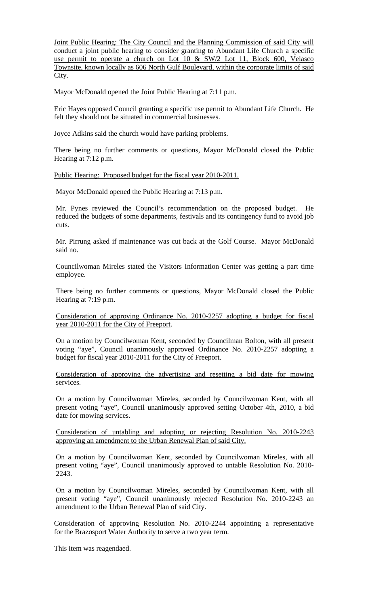Joint Public Hearing: The City Council and the Planning Commission of said City will conduct a joint public hearing to consider granting to Abundant Life Church a specific use permit to operate a church on Lot 10 & SW/2 Lot 11, Block 600, Velasco Townsite, known locally as 606 North Gulf Boulevard, within the corporate limits of said City.

Mayor McDonald opened the Joint Public Hearing at 7:11 p.m.

Eric Hayes opposed Council granting a specific use permit to Abundant Life Church. He felt they should not be situated in commercial businesses.

Joyce Adkins said the church would have parking problems.

There being no further comments or questions, Mayor McDonald closed the Public Hearing at 7:12 p.m.

Public Hearing: Proposed budget for the fiscal year 2010-2011.

Mayor McDonald opened the Public Hearing at 7:13 p.m.

Mr. Pynes reviewed the Council's recommendation on the proposed budget. He reduced the budgets of some departments, festivals and its contingency fund to avoid job cuts.

Mr. Pirrung asked if maintenance was cut back at the Golf Course. Mayor McDonald said no.

Councilwoman Mireles stated the Visitors Information Center was getting a part time employee.

There being no further comments or questions, Mayor McDonald closed the Public Hearing at 7:19 p.m.

Consideration of approving Ordinance No. 2010-2257 adopting a budget for fiscal year 2010-2011 for the City of Freeport.

On a motion by Councilwoman Kent, seconded by Councilman Bolton, with all present voting "aye", Council unanimously approved Ordinance No. 2010-2257 adopting a budget for fiscal year 2010-2011 for the City of Freeport.

Consideration of approving the advertising and resetting a bid date for mowing services.

On a motion by Councilwoman Mireles, seconded by Councilwoman Kent, with all present voting "aye", Council unanimously approved setting October 4th, 2010, a bid date for mowing services.

Consideration of untabling and adopting or rejecting Resolution No. 2010-2243 approving an amendment to the Urban Renewal Plan of said City.

On a motion by Councilwoman Kent, seconded by Councilwoman Mireles, with all present voting "aye", Council unanimously approved to untable Resolution No. 2010- 2243.

On a motion by Councilwoman Mireles, seconded by Councilwoman Kent, with all present voting "aye", Council unanimously rejected Resolution No. 2010-2243 an amendment to the Urban Renewal Plan of said City.

Consideration of approving Resolution No. 2010-2244 appointing a representative for the Brazosport Water Authority to serve a two year term.

This item was reagendaed.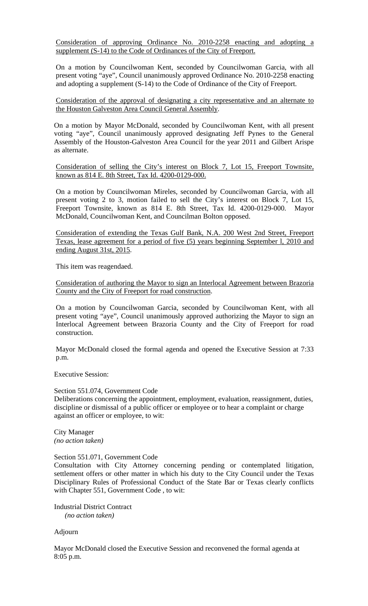Consideration of approving Ordinance No. 2010-2258 enacting and adopting a supplement (S-14) to the Code of Ordinances of the City of Freeport.

On a motion by Councilwoman Kent, seconded by Councilwoman Garcia, with all present voting "aye", Council unanimously approved Ordinance No. 2010-2258 enacting and adopting a supplement (S-14) to the Code of Ordinance of the City of Freeport.

Consideration of the approval of designating a city representative and an alternate to the Houston Galveston Area Council General Assembly.

On a motion by Mayor McDonald, seconded by Councilwoman Kent, with all present voting "aye", Council unanimously approved designating Jeff Pynes to the General Assembly of the Houston-Galveston Area Council for the year 2011 and Gilbert Arispe as alternate.

Consideration of selling the City's interest on Block 7, Lot 15, Freeport Townsite, known as 814 E. 8th Street, Tax Id. 4200-0129-000.

On a motion by Councilwoman Mireles, seconded by Councilwoman Garcia, with all present voting 2 to 3, motion failed to sell the City's interest on Block 7, Lot 15, Freeport Townsite, known as 814 E. 8th Street, Tax Id. 4200-0129-000. Mayor McDonald, Councilwoman Kent, and Councilman Bolton opposed.

Consideration of extending the Texas Gulf Bank, N.A. 200 West 2nd Street, Freeport Texas, lease agreement for a period of five (5) years beginning September l, 2010 and ending August 31st, 2015.

This item was reagendaed.

Consideration of authoring the Mayor to sign an Interlocal Agreement between Brazoria County and the City of Freeport for road construction.

On a motion by Councilwoman Garcia, seconded by Councilwoman Kent, with all present voting "aye", Council unanimously approved authorizing the Mayor to sign an Interlocal Agreement between Brazoria County and the City of Freeport for road construction.

Mayor McDonald closed the formal agenda and opened the Executive Session at 7:33 p.m.

Executive Session:

Section 551.074, Government Code

Deliberations concerning the appointment, employment, evaluation, reassignment, duties, discipline or dismissal of a public officer or employee or to hear a complaint or charge against an officer or employee, to wit:

City Manager *(no action taken)* 

## Section 551.071, Government Code

Consultation with City Attorney concerning pending or contemplated litigation, settlement offers or other matter in which his duty to the City Council under the Texas Disciplinary Rules of Professional Conduct of the State Bar or Texas clearly conflicts with Chapter 551, Government Code , to wit:

Industrial District Contract  *(no action taken)* 

Adjourn

Mayor McDonald closed the Executive Session and reconvened the formal agenda at 8:05 p.m.